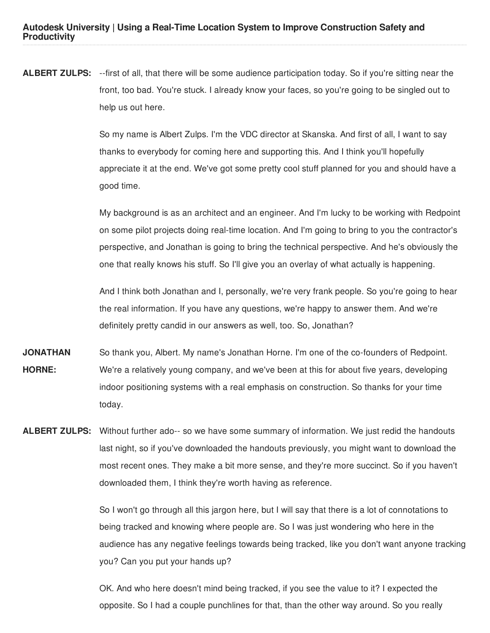**ALBERT ZULPS:** --first of all, that there will be some audience participation today. So if you're sitting near the front, too bad. You're stuck. I already know your faces, so you're going to be singled out to help us out here.

> So my name is Albert Zulps. I'm the VDC director at Skanska. And first of all, I want to say thanks to everybody for coming here and supporting this. And I think you'll hopefully appreciate it at the end. We've got some pretty cool stuff planned for you and should have a good time.

My background is as an architect and an engineer. And I'm lucky to be working with Redpoint on some pilot projects doing real-time location. And I'm going to bring to you the contractor's perspective, and Jonathan is going to bring the technical perspective. And he's obviously the one that really knows his stuff. So I'll give you an overlay of what actually is happening.

And I think both Jonathan and I, personally, we're very frank people. So you're going to hear the real information. If you have any questions, we're happy to answer them. And we're definitely pretty candid in our answers as well, too. So, Jonathan?

- **JONATHAN HORNE:** So thank you, Albert. My name's Jonathan Horne. I'm one of the co-founders of Redpoint. We're a relatively young company, and we've been at this for about five years, developing indoor positioning systems with a real emphasis on construction. So thanks for your time today.
- **ALBERT ZULPS:** Without further ado-- so we have some summary of information. We just redid the handouts last night, so if you've downloaded the handouts previously, you might want to download the most recent ones. They make a bit more sense, and they're more succinct. So if you haven't downloaded them, I think they're worth having as reference.

So I won't go through all this jargon here, but I will say that there is a lot of connotations to being tracked and knowing where people are. So I was just wondering who here in the audience has any negative feelings towards being tracked, like you don't want anyone tracking you? Can you put your hands up?

OK. And who here doesn't mind being tracked, if you see the value to it? I expected the opposite. So I had a couple punchlines for that, than the other way around. So you really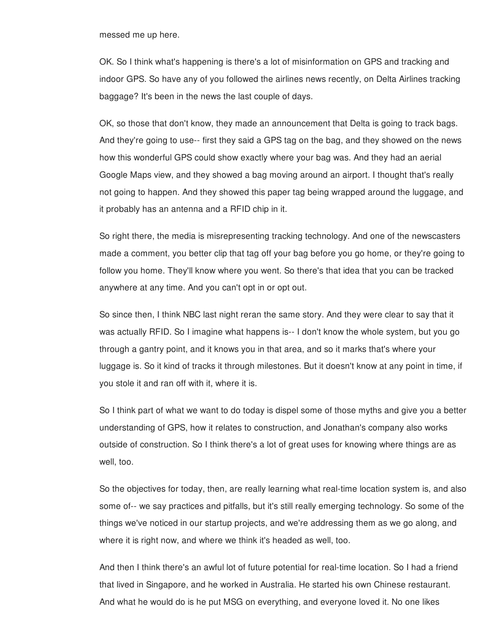messed me up here.

OK. So I think what's happening is there's a lot of misinformation on GPS and tracking and indoor GPS. So have any of you followed the airlines news recently, on Delta Airlines tracking baggage? It's been in the news the last couple of days.

OK, so those that don't know, they made an announcement that Delta is going to track bags. And they're going to use-- first they said a GPS tag on the bag, and they showed on the news how this wonderful GPS could show exactly where your bag was. And they had an aerial Google Maps view, and they showed a bag moving around an airport. I thought that's really not going to happen. And they showed this paper tag being wrapped around the luggage, and it probably has an antenna and a RFID chip in it.

So right there, the media is misrepresenting tracking technology. And one of the newscasters made a comment, you better clip that tag off your bag before you go home, or they're going to follow you home. They'll know where you went. So there's that idea that you can be tracked anywhere at any time. And you can't opt in or opt out.

So since then, I think NBC last night reran the same story. And they were clear to say that it was actually RFID. So I imagine what happens is-- I don't know the whole system, but you go through a gantry point, and it knows you in that area, and so it marks that's where your luggage is. So it kind of tracks it through milestones. But it doesn't know at any point in time, if you stole it and ran off with it, where it is.

So I think part of what we want to do today is dispel some of those myths and give you a better understanding of GPS, how it relates to construction, and Jonathan's company also works outside of construction. So I think there's a lot of great uses for knowing where things are as well, too.

So the objectives for today, then, are really learning what real-time location system is, and also some of-- we say practices and pitfalls, but it's still really emerging technology. So some of the things we've noticed in our startup projects, and we're addressing them as we go along, and where it is right now, and where we think it's headed as well, too.

And then I think there's an awful lot of future potential for real-time location. So I had a friend that lived in Singapore, and he worked in Australia. He started his own Chinese restaurant. And what he would do is he put MSG on everything, and everyone loved it. No one likes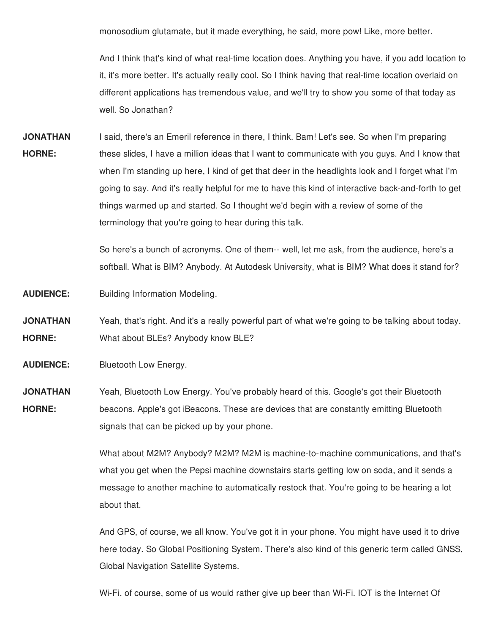monosodium glutamate, but it made everything, he said, more pow! Like, more better.

And I think that's kind of what real-time location does. Anything you have, if you add location to it, it's more better. It's actually really cool. So I think having that real-time location overlaid on different applications has tremendous value, and we'll try to show you some of that today as well. So Jonathan?

**JONATHAN HORNE:** I said, there's an Emeril reference in there, I think. Bam! Let's see. So when I'm preparing these slides, I have a million ideas that I want to communicate with you guys. And I know that when I'm standing up here, I kind of get that deer in the headlights look and I forget what I'm going to say. And it's really helpful for me to have this kind of interactive back-and-forth to get things warmed up and started. So I thought we'd begin with a review of some of the terminology that you're going to hear during this talk.

> So here's a bunch of acronyms. One of them-- well, let me ask, from the audience, here's a softball. What is BIM? Anybody. At Autodesk University, what is BIM? What does it stand for?

**AUDIENCE:** Building Information Modeling.

**JONATHAN HORNE:** Yeah, that's right. And it's a really powerful part of what we're going to be talking about today. What about BLEs? Anybody know BLE?

**AUDIENCE:** Bluetooth Low Energy.

**JONATHAN HORNE:** Yeah, Bluetooth Low Energy. You've probably heard of this. Google's got their Bluetooth beacons. Apple's got iBeacons. These are devices that are constantly emitting Bluetooth signals that can be picked up by your phone.

> What about M2M? Anybody? M2M? M2M is machine-to-machine communications, and that's what you get when the Pepsi machine downstairs starts getting low on soda, and it sends a message to another machine to automatically restock that. You're going to be hearing a lot about that.

> And GPS, of course, we all know. You've got it in your phone. You might have used it to drive here today. So Global Positioning System. There's also kind of this generic term called GNSS, Global Navigation Satellite Systems.

Wi-Fi, of course, some of us would rather give up beer than Wi-Fi. IOT is the Internet Of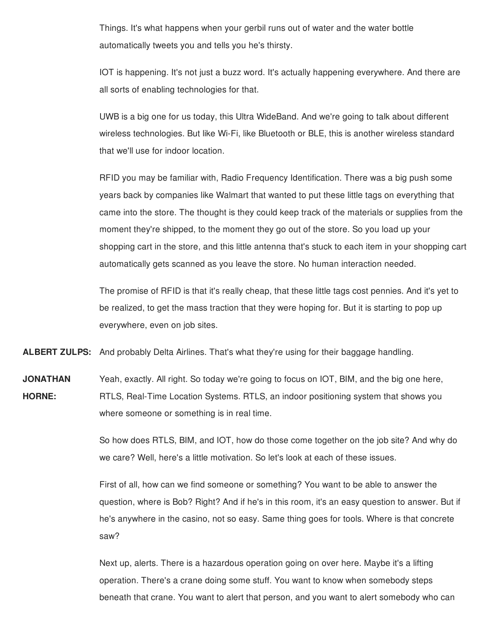Things. It's what happens when your gerbil runs out of water and the water bottle automatically tweets you and tells you he's thirsty.

IOT is happening. It's not just a buzz word. It's actually happening everywhere. And there are all sorts of enabling technologies for that.

UWB is a big one for us today, this Ultra WideBand. And we're going to talk about different wireless technologies. But like Wi-Fi, like Bluetooth or BLE, this is another wireless standard that we'll use for indoor location.

RFID you may be familiar with, Radio Frequency Identification. There was a big push some years back by companies like Walmart that wanted to put these little tags on everything that came into the store. The thought is they could keep track of the materials or supplies from the moment they're shipped, to the moment they go out of the store. So you load up your shopping cart in the store, and this little antenna that's stuck to each item in your shopping cart automatically gets scanned as you leave the store. No human interaction needed.

The promise of RFID is that it's really cheap, that these little tags cost pennies. And it's yet to be realized, to get the mass traction that they were hoping for. But it is starting to pop up everywhere, even on job sites.

**ALBERT ZULPS:** And probably Delta Airlines. That's what they're using for their baggage handling.

**JONATHAN HORNE:** Yeah, exactly. All right. So today we're going to focus on IOT, BIM, and the big one here, RTLS, Real-Time Location Systems. RTLS, an indoor positioning system that shows you where someone or something is in real time.

> So how does RTLS, BIM, and IOT, how do those come together on the job site? And why do we care? Well, here's a little motivation. So let's look at each of these issues.

> First of all, how can we find someone or something? You want to be able to answer the question, where is Bob? Right? And if he's in this room, it's an easy question to answer. But if he's anywhere in the casino, not so easy. Same thing goes for tools. Where is that concrete saw?

Next up, alerts. There is a hazardous operation going on over here. Maybe it's a lifting operation. There's a crane doing some stuff. You want to know when somebody steps beneath that crane. You want to alert that person, and you want to alert somebody who can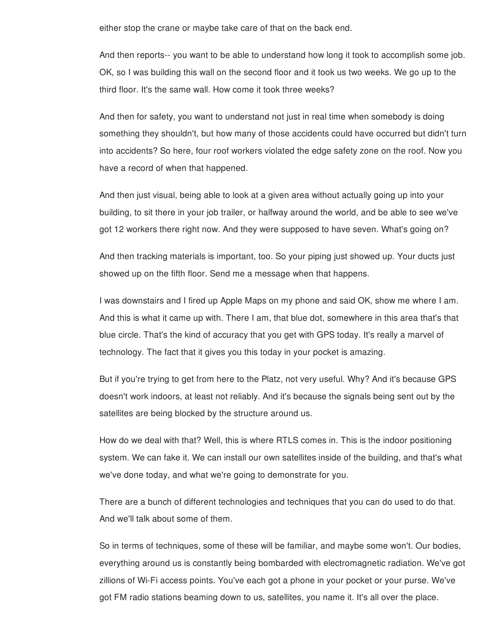either stop the crane or maybe take care of that on the back end.

And then reports-- you want to be able to understand how long it took to accomplish some job. OK, so I was building this wall on the second floor and it took us two weeks. We go up to the third floor. It's the same wall. How come it took three weeks?

And then for safety, you want to understand not just in real time when somebody is doing something they shouldn't, but how many of those accidents could have occurred but didn't turn into accidents? So here, four roof workers violated the edge safety zone on the roof. Now you have a record of when that happened.

And then just visual, being able to look at a given area without actually going up into your building, to sit there in your job trailer, or halfway around the world, and be able to see we've got 12 workers there right now. And they were supposed to have seven. What's going on?

And then tracking materials is important, too. So your piping just showed up. Your ducts just showed up on the fifth floor. Send me a message when that happens.

I was downstairs and I fired up Apple Maps on my phone and said OK, show me where I am. And this is what it came up with. There I am, that blue dot, somewhere in this area that's that blue circle. That's the kind of accuracy that you get with GPS today. It's really a marvel of technology. The fact that it gives you this today in your pocket is amazing.

But if you're trying to get from here to the Platz, not very useful. Why? And it's because GPS doesn't work indoors, at least not reliably. And it's because the signals being sent out by the satellites are being blocked by the structure around us.

How do we deal with that? Well, this is where RTLS comes in. This is the indoor positioning system. We can fake it. We can install our own satellites inside of the building, and that's what we've done today, and what we're going to demonstrate for you.

There are a bunch of different technologies and techniques that you can do used to do that. And we'll talk about some of them.

So in terms of techniques, some of these will be familiar, and maybe some won't. Our bodies, everything around us is constantly being bombarded with electromagnetic radiation. We've got zillions of Wi-Fi access points. You've each got a phone in your pocket or your purse. We've got FM radio stations beaming down to us, satellites, you name it. It's all over the place.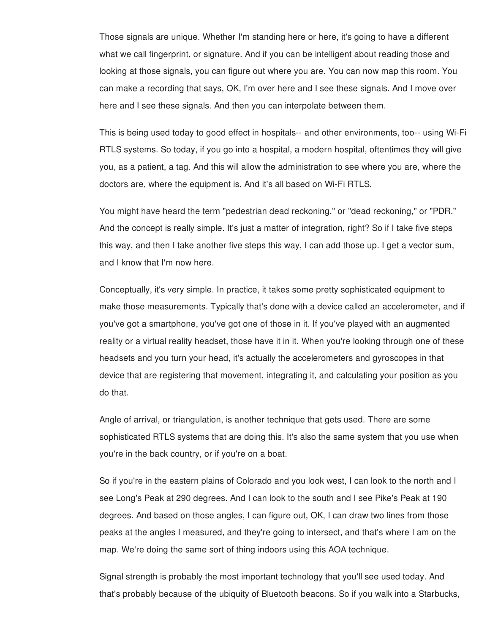Those signals are unique. Whether I'm standing here or here, it's going to have a different what we call fingerprint, or signature. And if you can be intelligent about reading those and looking at those signals, you can figure out where you are. You can now map this room. You can make a recording that says, OK, I'm over here and I see these signals. And I move over here and I see these signals. And then you can interpolate between them.

This is being used today to good effect in hospitals-- and other environments, too-- using Wi-Fi RTLS systems. So today, if you go into a hospital, a modern hospital, oftentimes they will give you, as a patient, a tag. And this will allow the administration to see where you are, where the doctors are, where the equipment is. And it's all based on Wi-Fi RTLS.

You might have heard the term "pedestrian dead reckoning," or "dead reckoning," or "PDR." And the concept is really simple. It's just a matter of integration, right? So if I take five steps this way, and then I take another five steps this way, I can add those up. I get a vector sum, and I know that I'm now here.

Conceptually, it's very simple. In practice, it takes some pretty sophisticated equipment to make those measurements. Typically that's done with a device called an accelerometer, and if you've got a smartphone, you've got one of those in it. If you've played with an augmented reality or a virtual reality headset, those have it in it. When you're looking through one of these headsets and you turn your head, it's actually the accelerometers and gyroscopes in that device that are registering that movement, integrating it, and calculating your position as you do that.

Angle of arrival, or triangulation, is another technique that gets used. There are some sophisticated RTLS systems that are doing this. It's also the same system that you use when you're in the back country, or if you're on a boat.

So if you're in the eastern plains of Colorado and you look west, I can look to the north and I see Long's Peak at 290 degrees. And I can look to the south and I see Pike's Peak at 190 degrees. And based on those angles, I can figure out, OK, I can draw two lines from those peaks at the angles I measured, and they're going to intersect, and that's where I am on the map. We're doing the same sort of thing indoors using this AOA technique.

Signal strength is probably the most important technology that you'll see used today. And that's probably because of the ubiquity of Bluetooth beacons. So if you walk into a Starbucks,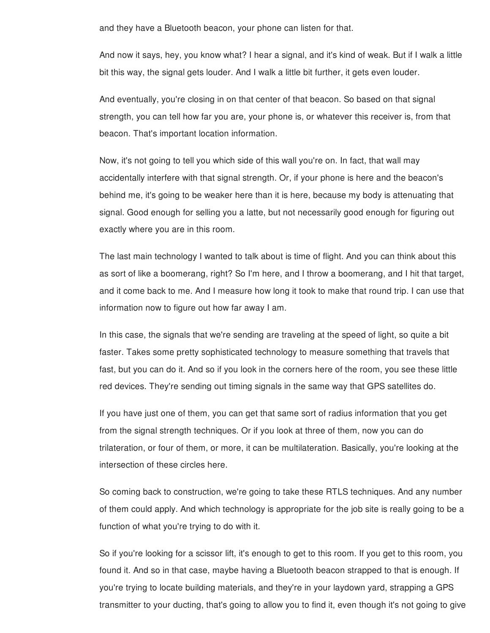and they have a Bluetooth beacon, your phone can listen for that.

And now it says, hey, you know what? I hear a signal, and it's kind of weak. But if I walk a little bit this way, the signal gets louder. And I walk a little bit further, it gets even louder.

And eventually, you're closing in on that center of that beacon. So based on that signal strength, you can tell how far you are, your phone is, or whatever this receiver is, from that beacon. That's important location information.

Now, it's not going to tell you which side of this wall you're on. In fact, that wall may accidentally interfere with that signal strength. Or, if your phone is here and the beacon's behind me, it's going to be weaker here than it is here, because my body is attenuating that signal. Good enough for selling you a latte, but not necessarily good enough for figuring out exactly where you are in this room.

The last main technology I wanted to talk about is time of flight. And you can think about this as sort of like a boomerang, right? So I'm here, and I throw a boomerang, and I hit that target, and it come back to me. And I measure how long it took to make that round trip. I can use that information now to figure out how far away I am.

In this case, the signals that we're sending are traveling at the speed of light, so quite a bit faster. Takes some pretty sophisticated technology to measure something that travels that fast, but you can do it. And so if you look in the corners here of the room, you see these little red devices. They're sending out timing signals in the same way that GPS satellites do.

If you have just one of them, you can get that same sort of radius information that you get from the signal strength techniques. Or if you look at three of them, now you can do trilateration, or four of them, or more, it can be multilateration. Basically, you're looking at the intersection of these circles here.

So coming back to construction, we're going to take these RTLS techniques. And any number of them could apply. And which technology is appropriate for the job site is really going to be a function of what you're trying to do with it.

So if you're looking for a scissor lift, it's enough to get to this room. If you get to this room, you found it. And so in that case, maybe having a Bluetooth beacon strapped to that is enough. If you're trying to locate building materials, and they're in your laydown yard, strapping a GPS transmitter to your ducting, that's going to allow you to find it, even though it's not going to give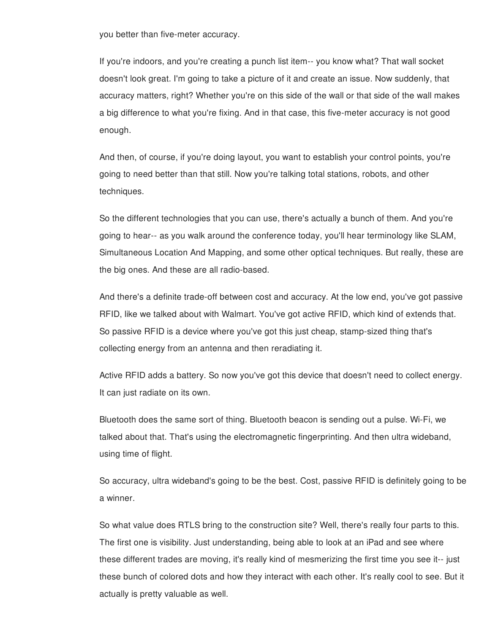you better than five-meter accuracy.

If you're indoors, and you're creating a punch list item-- you know what? That wall socket doesn't look great. I'm going to take a picture of it and create an issue. Now suddenly, that accuracy matters, right? Whether you're on this side of the wall or that side of the wall makes a big difference to what you're fixing. And in that case, this five-meter accuracy is not good enough.

And then, of course, if you're doing layout, you want to establish your control points, you're going to need better than that still. Now you're talking total stations, robots, and other techniques.

So the different technologies that you can use, there's actually a bunch of them. And you're going to hear-- as you walk around the conference today, you'll hear terminology like SLAM, Simultaneous Location And Mapping, and some other optical techniques. But really, these are the big ones. And these are all radio-based.

And there's a definite trade-off between cost and accuracy. At the low end, you've got passive RFID, like we talked about with Walmart. You've got active RFID, which kind of extends that. So passive RFID is a device where you've got this just cheap, stamp-sized thing that's collecting energy from an antenna and then reradiating it.

Active RFID adds a battery. So now you've got this device that doesn't need to collect energy. It can just radiate on its own.

Bluetooth does the same sort of thing. Bluetooth beacon is sending out a pulse. Wi-Fi, we talked about that. That's using the electromagnetic fingerprinting. And then ultra wideband, using time of flight.

So accuracy, ultra wideband's going to be the best. Cost, passive RFID is definitely going to be a winner.

So what value does RTLS bring to the construction site? Well, there's really four parts to this. The first one is visibility. Just understanding, being able to look at an iPad and see where these different trades are moving, it's really kind of mesmerizing the first time you see it-- just these bunch of colored dots and how they interact with each other. It's really cool to see. But it actually is pretty valuable as well.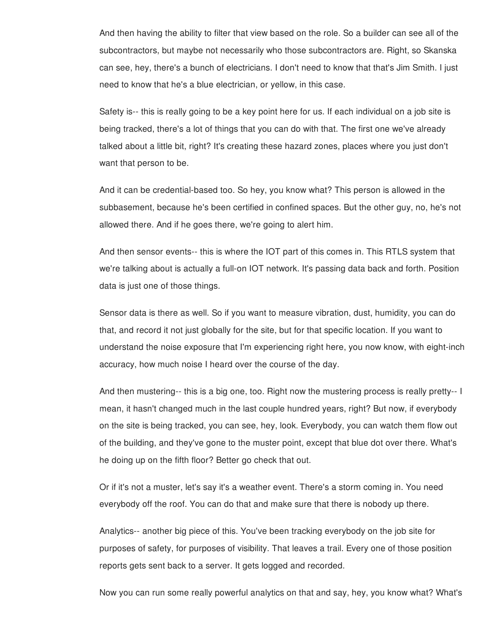And then having the ability to filter that view based on the role. So a builder can see all of the subcontractors, but maybe not necessarily who those subcontractors are. Right, so Skanska can see, hey, there's a bunch of electricians. I don't need to know that that's Jim Smith. I just need to know that he's a blue electrician, or yellow, in this case.

Safety is-- this is really going to be a key point here for us. If each individual on a job site is being tracked, there's a lot of things that you can do with that. The first one we've already talked about a little bit, right? It's creating these hazard zones, places where you just don't want that person to be.

And it can be credential-based too. So hey, you know what? This person is allowed in the subbasement, because he's been certified in confined spaces. But the other guy, no, he's not allowed there. And if he goes there, we're going to alert him.

And then sensor events-- this is where the IOT part of this comes in. This RTLS system that we're talking about is actually a full-on IOT network. It's passing data back and forth. Position data is just one of those things.

Sensor data is there as well. So if you want to measure vibration, dust, humidity, you can do that, and record it not just globally for the site, but for that specific location. If you want to understand the noise exposure that I'm experiencing right here, you now know, with eight-inch accuracy, how much noise I heard over the course of the day.

And then mustering-- this is a big one, too. Right now the mustering process is really pretty-- I mean, it hasn't changed much in the last couple hundred years, right? But now, if everybody on the site is being tracked, you can see, hey, look. Everybody, you can watch them flow out of the building, and they've gone to the muster point, except that blue dot over there. What's he doing up on the fifth floor? Better go check that out.

Or if it's not a muster, let's say it's a weather event. There's a storm coming in. You need everybody off the roof. You can do that and make sure that there is nobody up there.

Analytics-- another big piece of this. You've been tracking everybody on the job site for purposes of safety, for purposes of visibility. That leaves a trail. Every one of those position reports gets sent back to a server. It gets logged and recorded.

Now you can run some really powerful analytics on that and say, hey, you know what? What's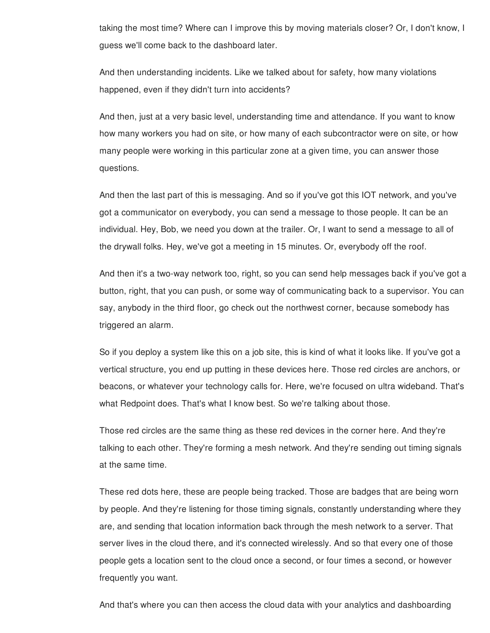taking the most time? Where can I improve this by moving materials closer? Or, I don't know, I guess we'll come back to the dashboard later.

And then understanding incidents. Like we talked about for safety, how many violations happened, even if they didn't turn into accidents?

And then, just at a very basic level, understanding time and attendance. If you want to know how many workers you had on site, or how many of each subcontractor were on site, or how many people were working in this particular zone at a given time, you can answer those questions.

And then the last part of this is messaging. And so if you've got this IOT network, and you've got a communicator on everybody, you can send a message to those people. It can be an individual. Hey, Bob, we need you down at the trailer. Or, I want to send a message to all of the drywall folks. Hey, we've got a meeting in 15 minutes. Or, everybody off the roof.

And then it's a two-way network too, right, so you can send help messages back if you've got a button, right, that you can push, or some way of communicating back to a supervisor. You can say, anybody in the third floor, go check out the northwest corner, because somebody has triggered an alarm.

So if you deploy a system like this on a job site, this is kind of what it looks like. If you've got a vertical structure, you end up putting in these devices here. Those red circles are anchors, or beacons, or whatever your technology calls for. Here, we're focused on ultra wideband. That's what Redpoint does. That's what I know best. So we're talking about those.

Those red circles are the same thing as these red devices in the corner here. And they're talking to each other. They're forming a mesh network. And they're sending out timing signals at the same time.

These red dots here, these are people being tracked. Those are badges that are being worn by people. And they're listening for those timing signals, constantly understanding where they are, and sending that location information back through the mesh network to a server. That server lives in the cloud there, and it's connected wirelessly. And so that every one of those people gets a location sent to the cloud once a second, or four times a second, or however frequently you want.

And that's where you can then access the cloud data with your analytics and dashboarding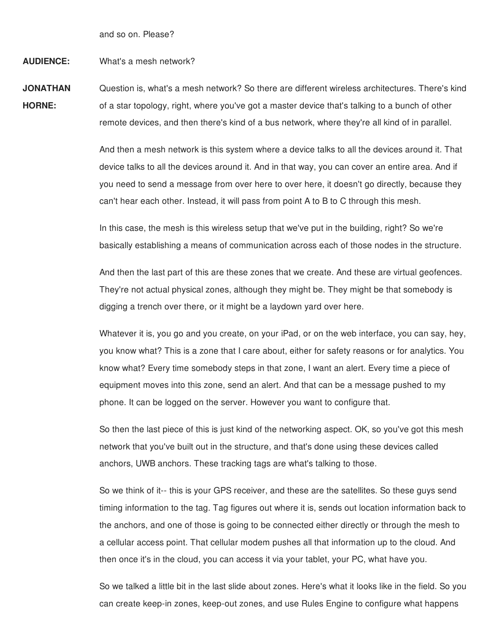and so on. Please?

### **AUDIENCE:** What's a mesh network?

**JONATHAN HORNE:** Question is, what's a mesh network? So there are different wireless architectures. There's kind of a star topology, right, where you've got a master device that's talking to a bunch of other remote devices, and then there's kind of a bus network, where they're all kind of in parallel.

> And then a mesh network is this system where a device talks to all the devices around it. That device talks to all the devices around it. And in that way, you can cover an entire area. And if you need to send a message from over here to over here, it doesn't go directly, because they can't hear each other. Instead, it will pass from point A to B to C through this mesh.

> In this case, the mesh is this wireless setup that we've put in the building, right? So we're basically establishing a means of communication across each of those nodes in the structure.

> And then the last part of this are these zones that we create. And these are virtual geofences. They're not actual physical zones, although they might be. They might be that somebody is digging a trench over there, or it might be a laydown yard over here.

> Whatever it is, you go and you create, on your iPad, or on the web interface, you can say, hey, you know what? This is a zone that I care about, either for safety reasons or for analytics. You know what? Every time somebody steps in that zone, I want an alert. Every time a piece of equipment moves into this zone, send an alert. And that can be a message pushed to my phone. It can be logged on the server. However you want to configure that.

> So then the last piece of this is just kind of the networking aspect. OK, so you've got this mesh network that you've built out in the structure, and that's done using these devices called anchors, UWB anchors. These tracking tags are what's talking to those.

> So we think of it-- this is your GPS receiver, and these are the satellites. So these guys send timing information to the tag. Tag figures out where it is, sends out location information back to the anchors, and one of those is going to be connected either directly or through the mesh to a cellular access point. That cellular modem pushes all that information up to the cloud. And then once it's in the cloud, you can access it via your tablet, your PC, what have you.

> So we talked a little bit in the last slide about zones. Here's what it looks like in the field. So you can create keep-in zones, keep-out zones, and use Rules Engine to configure what happens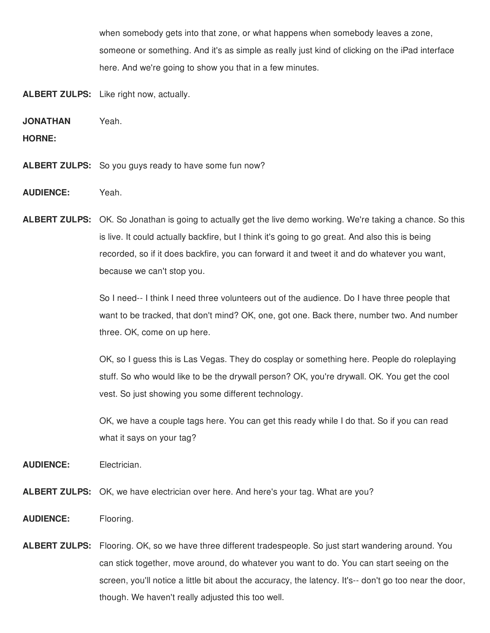when somebody gets into that zone, or what happens when somebody leaves a zone, someone or something. And it's as simple as really just kind of clicking on the iPad interface here. And we're going to show you that in a few minutes.

**ALBERT ZULPS:** Like right now, actually.

**JONATHAN** Yeah.

**HORNE:**

**ALBERT ZULPS:** So you guys ready to have some fun now?

**AUDIENCE:** Yeah.

**ALBERT ZULPS:** OK. So Jonathan is going to actually get the live demo working. We're taking a chance. So this is live. It could actually backfire, but I think it's going to go great. And also this is being recorded, so if it does backfire, you can forward it and tweet it and do whatever you want, because we can't stop you.

> So I need-- I think I need three volunteers out of the audience. Do I have three people that want to be tracked, that don't mind? OK, one, got one. Back there, number two. And number three. OK, come on up here.

> OK, so I guess this is Las Vegas. They do cosplay or something here. People do roleplaying stuff. So who would like to be the drywall person? OK, you're drywall. OK. You get the cool vest. So just showing you some different technology.

OK, we have a couple tags here. You can get this ready while I do that. So if you can read what it says on your tag?

**AUDIENCE:** Electrician.

- **ALBERT ZULPS:** OK, we have electrician over here. And here's your tag. What are you?
- **AUDIENCE:** Flooring.
- **ALBERT ZULPS:** Flooring. OK, so we have three different tradespeople. So just start wandering around. You can stick together, move around, do whatever you want to do. You can start seeing on the screen, you'll notice a little bit about the accuracy, the latency. It's-- don't go too near the door, though. We haven't really adjusted this too well.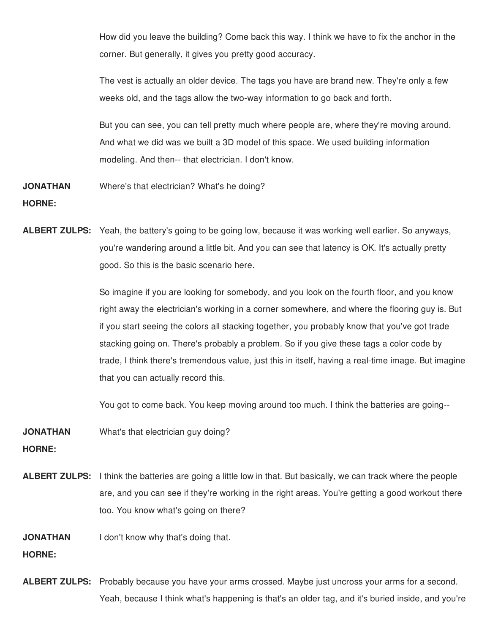How did you leave the building? Come back this way. I think we have to fix the anchor in the corner. But generally, it gives you pretty good accuracy.

The vest is actually an older device. The tags you have are brand new. They're only a few weeks old, and the tags allow the two-way information to go back and forth.

But you can see, you can tell pretty much where people are, where they're moving around. And what we did was we built a 3D model of this space. We used building information modeling. And then-- that electrician. I don't know.

**JONATHAN** Where's that electrician? What's he doing?

## **HORNE:**

**ALBERT ZULPS:** Yeah, the battery's going to be going low, because it was working well earlier. So anyways, you're wandering around a little bit. And you can see that latency is OK. It's actually pretty good. So this is the basic scenario here.

> So imagine if you are looking for somebody, and you look on the fourth floor, and you know right away the electrician's working in a corner somewhere, and where the flooring guy is. But if you start seeing the colors all stacking together, you probably know that you've got trade stacking going on. There's probably a problem. So if you give these tags a color code by trade, I think there's tremendous value, just this in itself, having a real-time image. But imagine that you can actually record this.

You got to come back. You keep moving around too much. I think the batteries are going--

**JONATHAN** What's that electrician guy doing?

**HORNE:**

**ALBERT ZULPS:** I think the batteries are going a little low in that. But basically, we can track where the people are, and you can see if they're working in the right areas. You're getting a good workout there too. You know what's going on there?

**JONATHAN** I don't know why that's doing that.

# **HORNE:**

**ALBERT ZULPS:** Probably because you have your arms crossed. Maybe just uncross your arms for a second. Yeah, because I think what's happening is that's an older tag, and it's buried inside, and you're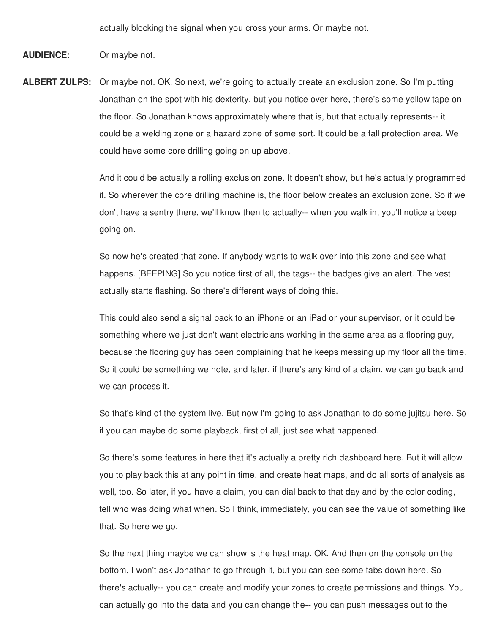actually blocking the signal when you cross your arms. Or maybe not.

**AUDIENCE:** Or maybe not.

**ALBERT ZULPS:** Or maybe not. OK. So next, we're going to actually create an exclusion zone. So I'm putting Jonathan on the spot with his dexterity, but you notice over here, there's some yellow tape on the floor. So Jonathan knows approximately where that is, but that actually represents-- it could be a welding zone or a hazard zone of some sort. It could be a fall protection area. We could have some core drilling going on up above.

> And it could be actually a rolling exclusion zone. It doesn't show, but he's actually programmed it. So wherever the core drilling machine is, the floor below creates an exclusion zone. So if we don't have a sentry there, we'll know then to actually-- when you walk in, you'll notice a beep going on.

So now he's created that zone. If anybody wants to walk over into this zone and see what happens. [BEEPING] So you notice first of all, the tags-- the badges give an alert. The vest actually starts flashing. So there's different ways of doing this.

This could also send a signal back to an iPhone or an iPad or your supervisor, or it could be something where we just don't want electricians working in the same area as a flooring guy, because the flooring guy has been complaining that he keeps messing up my floor all the time. So it could be something we note, and later, if there's any kind of a claim, we can go back and we can process it.

So that's kind of the system live. But now I'm going to ask Jonathan to do some jujitsu here. So if you can maybe do some playback, first of all, just see what happened.

So there's some features in here that it's actually a pretty rich dashboard here. But it will allow you to play back this at any point in time, and create heat maps, and do all sorts of analysis as well, too. So later, if you have a claim, you can dial back to that day and by the color coding, tell who was doing what when. So I think, immediately, you can see the value of something like that. So here we go.

So the next thing maybe we can show is the heat map. OK. And then on the console on the bottom, I won't ask Jonathan to go through it, but you can see some tabs down here. So there's actually-- you can create and modify your zones to create permissions and things. You can actually go into the data and you can change the-- you can push messages out to the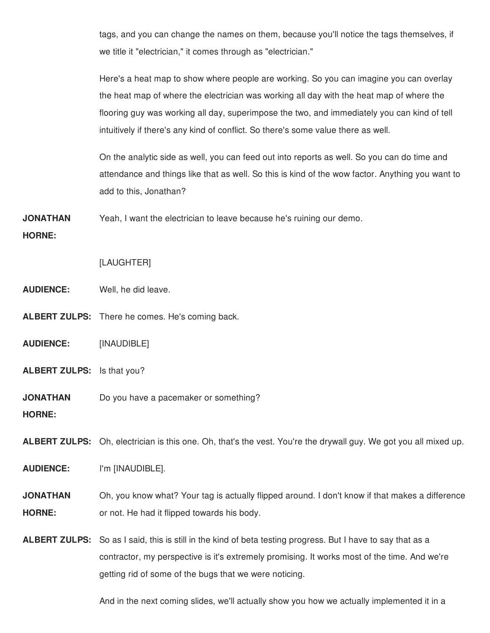tags, and you can change the names on them, because you'll notice the tags themselves, if we title it "electrician," it comes through as "electrician."

Here's a heat map to show where people are working. So you can imagine you can overlay the heat map of where the electrician was working all day with the heat map of where the flooring guy was working all day, superimpose the two, and immediately you can kind of tell intuitively if there's any kind of conflict. So there's some value there as well.

On the analytic side as well, you can feed out into reports as well. So you can do time and attendance and things like that as well. So this is kind of the wow factor. Anything you want to add to this, Jonathan?

**JONATHAN** Yeah, I want the electrician to leave because he's ruining our demo.

#### **HORNE:**

#### [LAUGHTER]

- **AUDIENCE:** Well, he did leave.
- **ALBERT ZULPS:** There he comes. He's coming back.
- **AUDIENCE:** [INAUDIBLE]
- **ALBERT ZULPS:** Is that you?
- **JONATHAN** Do you have a pacemaker or something?

**HORNE:**

**ALBERT ZULPS:** Oh, electrician is this one. Oh, that's the vest. You're the drywall guy. We got you all mixed up.

**AUDIENCE:** I'm [INAUDIBLE].

**JONATHAN HORNE:** Oh, you know what? Your tag is actually flipped around. I don't know if that makes a difference or not. He had it flipped towards his body.

**ALBERT ZULPS:** So as I said, this is still in the kind of beta testing progress. But I have to say that as a contractor, my perspective is it's extremely promising. It works most of the time. And we're getting rid of some of the bugs that we were noticing.

And in the next coming slides, we'll actually show you how we actually implemented it in a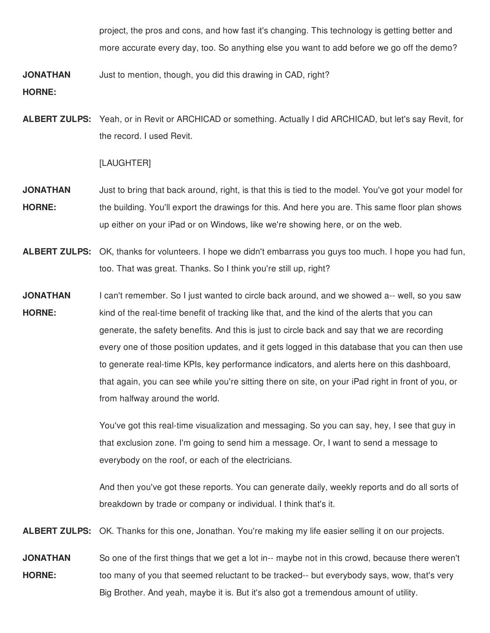project, the pros and cons, and how fast it's changing. This technology is getting better and more accurate every day, too. So anything else you want to add before we go off the demo?

**JONATHAN** Just to mention, though, you did this drawing in CAD, right?

**HORNE:**

**ALBERT ZULPS:** Yeah, or in Revit or ARCHICAD or something. Actually I did ARCHICAD, but let's say Revit, for the record. I used Revit.

[LAUGHTER]

- **JONATHAN HORNE:** Just to bring that back around, right, is that this is tied to the model. You've got your model for the building. You'll export the drawings for this. And here you are. This same floor plan shows up either on your iPad or on Windows, like we're showing here, or on the web.
- **ALBERT ZULPS:** OK, thanks for volunteers. I hope we didn't embarrass you guys too much. I hope you had fun, too. That was great. Thanks. So I think you're still up, right?
- **JONATHAN HORNE:** I can't remember. So I just wanted to circle back around, and we showed a-- well, so you saw kind of the real-time benefit of tracking like that, and the kind of the alerts that you can generate, the safety benefits. And this is just to circle back and say that we are recording every one of those position updates, and it gets logged in this database that you can then use to generate real-time KPIs, key performance indicators, and alerts here on this dashboard, that again, you can see while you're sitting there on site, on your iPad right in front of you, or from halfway around the world.

You've got this real-time visualization and messaging. So you can say, hey, I see that guy in that exclusion zone. I'm going to send him a message. Or, I want to send a message to everybody on the roof, or each of the electricians.

And then you've got these reports. You can generate daily, weekly reports and do all sorts of breakdown by trade or company or individual. I think that's it.

**ALBERT ZULPS:** OK. Thanks for this one, Jonathan. You're making my life easier selling it on our projects.

**JONATHAN HORNE:** So one of the first things that we get a lot in-- maybe not in this crowd, because there weren't too many of you that seemed reluctant to be tracked-- but everybody says, wow, that's very Big Brother. And yeah, maybe it is. But it's also got a tremendous amount of utility.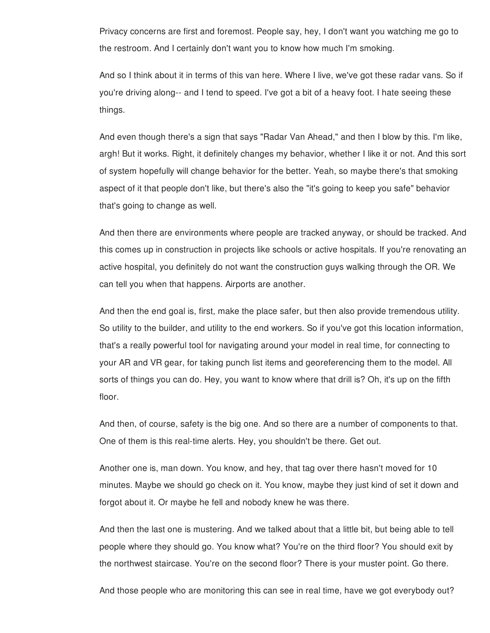Privacy concerns are first and foremost. People say, hey, I don't want you watching me go to the restroom. And I certainly don't want you to know how much I'm smoking.

And so I think about it in terms of this van here. Where I live, we've got these radar vans. So if you're driving along-- and I tend to speed. I've got a bit of a heavy foot. I hate seeing these things.

And even though there's a sign that says "Radar Van Ahead," and then I blow by this. I'm like, argh! But it works. Right, it definitely changes my behavior, whether I like it or not. And this sort of system hopefully will change behavior for the better. Yeah, so maybe there's that smoking aspect of it that people don't like, but there's also the "it's going to keep you safe" behavior that's going to change as well.

And then there are environments where people are tracked anyway, or should be tracked. And this comes up in construction in projects like schools or active hospitals. If you're renovating an active hospital, you definitely do not want the construction guys walking through the OR. We can tell you when that happens. Airports are another.

And then the end goal is, first, make the place safer, but then also provide tremendous utility. So utility to the builder, and utility to the end workers. So if you've got this location information, that's a really powerful tool for navigating around your model in real time, for connecting to your AR and VR gear, for taking punch list items and georeferencing them to the model. All sorts of things you can do. Hey, you want to know where that drill is? Oh, it's up on the fifth floor.

And then, of course, safety is the big one. And so there are a number of components to that. One of them is this real-time alerts. Hey, you shouldn't be there. Get out.

Another one is, man down. You know, and hey, that tag over there hasn't moved for 10 minutes. Maybe we should go check on it. You know, maybe they just kind of set it down and forgot about it. Or maybe he fell and nobody knew he was there.

And then the last one is mustering. And we talked about that a little bit, but being able to tell people where they should go. You know what? You're on the third floor? You should exit by the northwest staircase. You're on the second floor? There is your muster point. Go there.

And those people who are monitoring this can see in real time, have we got everybody out?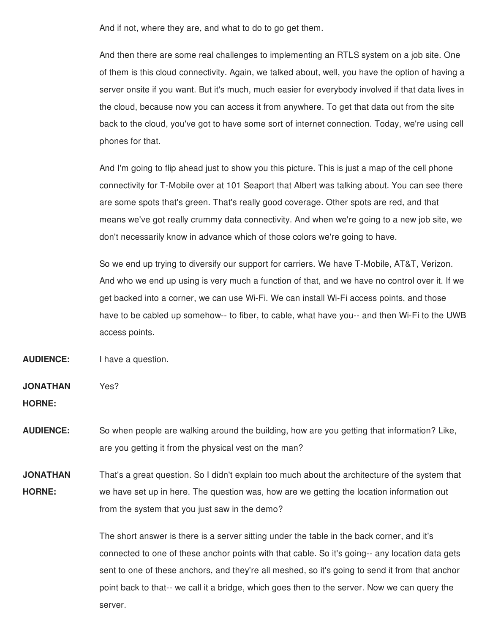And if not, where they are, and what to do to go get them.

And then there are some real challenges to implementing an RTLS system on a job site. One of them is this cloud connectivity. Again, we talked about, well, you have the option of having a server onsite if you want. But it's much, much easier for everybody involved if that data lives in the cloud, because now you can access it from anywhere. To get that data out from the site back to the cloud, you've got to have some sort of internet connection. Today, we're using cell phones for that.

And I'm going to flip ahead just to show you this picture. This is just a map of the cell phone connectivity for T-Mobile over at 101 Seaport that Albert was talking about. You can see there are some spots that's green. That's really good coverage. Other spots are red, and that means we've got really crummy data connectivity. And when we're going to a new job site, we don't necessarily know in advance which of those colors we're going to have.

So we end up trying to diversify our support for carriers. We have T-Mobile, AT&T, Verizon. And who we end up using is very much a function of that, and we have no control over it. If we get backed into a corner, we can use Wi-Fi. We can install Wi-Fi access points, and those have to be cabled up somehow-- to fiber, to cable, what have you-- and then Wi-Fi to the UWB access points.

**AUDIENCE:** I have a question.

**JONATHAN** Yes?

**HORNE:**

**AUDIENCE:** So when people are walking around the building, how are you getting that information? Like, are you getting it from the physical vest on the man?

**JONATHAN HORNE:** That's a great question. So I didn't explain too much about the architecture of the system that we have set up in here. The question was, how are we getting the location information out from the system that you just saw in the demo?

> The short answer is there is a server sitting under the table in the back corner, and it's connected to one of these anchor points with that cable. So it's going-- any location data gets sent to one of these anchors, and they're all meshed, so it's going to send it from that anchor point back to that-- we call it a bridge, which goes then to the server. Now we can query the server.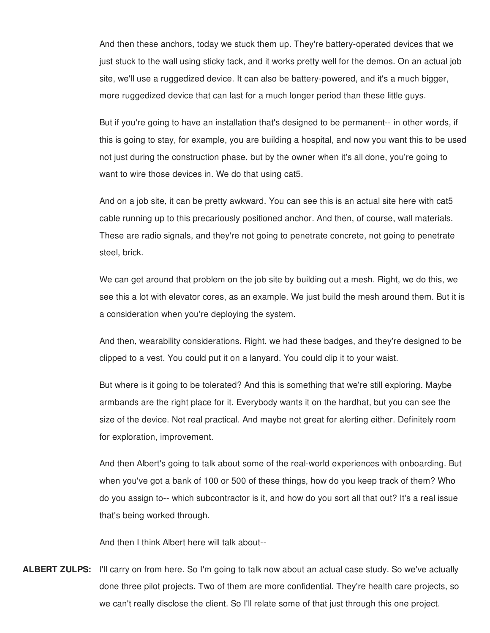And then these anchors, today we stuck them up. They're battery-operated devices that we just stuck to the wall using sticky tack, and it works pretty well for the demos. On an actual job site, we'll use a ruggedized device. It can also be battery-powered, and it's a much bigger, more ruggedized device that can last for a much longer period than these little guys.

But if you're going to have an installation that's designed to be permanent-- in other words, if this is going to stay, for example, you are building a hospital, and now you want this to be used not just during the construction phase, but by the owner when it's all done, you're going to want to wire those devices in. We do that using cat5.

And on a job site, it can be pretty awkward. You can see this is an actual site here with cat5 cable running up to this precariously positioned anchor. And then, of course, wall materials. These are radio signals, and they're not going to penetrate concrete, not going to penetrate steel, brick.

We can get around that problem on the job site by building out a mesh. Right, we do this, we see this a lot with elevator cores, as an example. We just build the mesh around them. But it is a consideration when you're deploying the system.

And then, wearability considerations. Right, we had these badges, and they're designed to be clipped to a vest. You could put it on a lanyard. You could clip it to your waist.

But where is it going to be tolerated? And this is something that we're still exploring. Maybe armbands are the right place for it. Everybody wants it on the hardhat, but you can see the size of the device. Not real practical. And maybe not great for alerting either. Definitely room for exploration, improvement.

And then Albert's going to talk about some of the real-world experiences with onboarding. But when you've got a bank of 100 or 500 of these things, how do you keep track of them? Who do you assign to-- which subcontractor is it, and how do you sort all that out? It's a real issue that's being worked through.

And then I think Albert here will talk about--

**ALBERT ZULPS:** I'll carry on from here. So I'm going to talk now about an actual case study. So we've actually done three pilot projects. Two of them are more confidential. They're health care projects, so we can't really disclose the client. So I'll relate some of that just through this one project.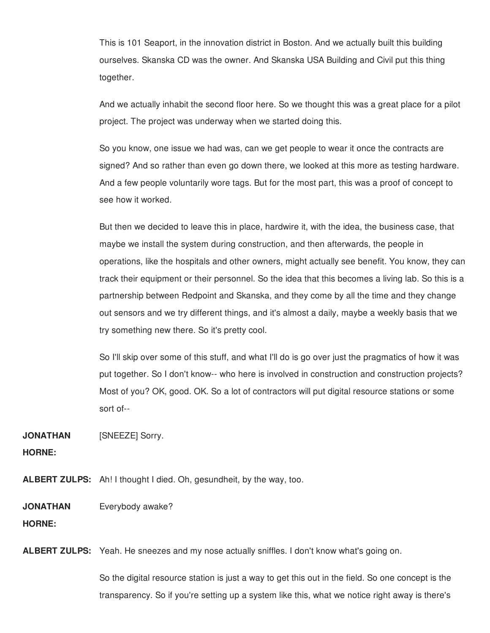This is 101 Seaport, in the innovation district in Boston. And we actually built this building ourselves. Skanska CD was the owner. And Skanska USA Building and Civil put this thing together.

And we actually inhabit the second floor here. So we thought this was a great place for a pilot project. The project was underway when we started doing this.

So you know, one issue we had was, can we get people to wear it once the contracts are signed? And so rather than even go down there, we looked at this more as testing hardware. And a few people voluntarily wore tags. But for the most part, this was a proof of concept to see how it worked.

But then we decided to leave this in place, hardwire it, with the idea, the business case, that maybe we install the system during construction, and then afterwards, the people in operations, like the hospitals and other owners, might actually see benefit. You know, they can track their equipment or their personnel. So the idea that this becomes a living lab. So this is a partnership between Redpoint and Skanska, and they come by all the time and they change out sensors and we try different things, and it's almost a daily, maybe a weekly basis that we try something new there. So it's pretty cool.

So I'll skip over some of this stuff, and what I'll do is go over just the pragmatics of how it was put together. So I don't know-- who here is involved in construction and construction projects? Most of you? OK, good. OK. So a lot of contractors will put digital resource stations or some sort of--

**JONATHAN** [SNEEZE] Sorry.

**HORNE:**

**ALBERT ZULPS:** Ah! I thought I died. Oh, gesundheit, by the way, too.

**JONATHAN** Everybody awake?

**HORNE:**

**ALBERT ZULPS:** Yeah. He sneezes and my nose actually sniffles. I don't know what's going on.

So the digital resource station is just a way to get this out in the field. So one concept is the transparency. So if you're setting up a system like this, what we notice right away is there's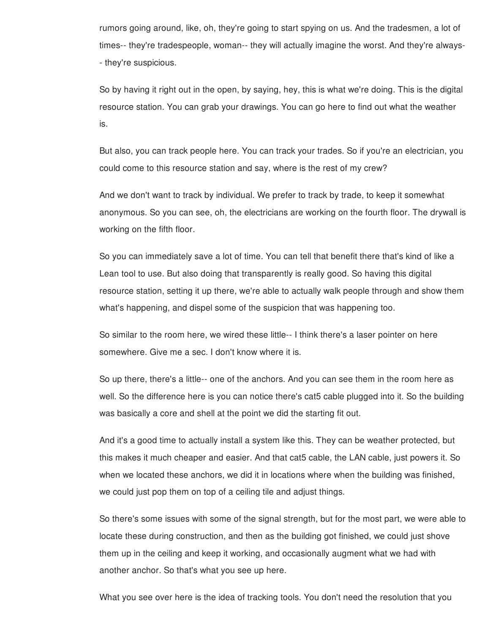rumors going around, like, oh, they're going to start spying on us. And the tradesmen, a lot of times-- they're tradespeople, woman-- they will actually imagine the worst. And they're always- - they're suspicious.

So by having it right out in the open, by saying, hey, this is what we're doing. This is the digital resource station. You can grab your drawings. You can go here to find out what the weather is.

But also, you can track people here. You can track your trades. So if you're an electrician, you could come to this resource station and say, where is the rest of my crew?

And we don't want to track by individual. We prefer to track by trade, to keep it somewhat anonymous. So you can see, oh, the electricians are working on the fourth floor. The drywall is working on the fifth floor.

So you can immediately save a lot of time. You can tell that benefit there that's kind of like a Lean tool to use. But also doing that transparently is really good. So having this digital resource station, setting it up there, we're able to actually walk people through and show them what's happening, and dispel some of the suspicion that was happening too.

So similar to the room here, we wired these little-- I think there's a laser pointer on here somewhere. Give me a sec. I don't know where it is.

So up there, there's a little-- one of the anchors. And you can see them in the room here as well. So the difference here is you can notice there's cat5 cable plugged into it. So the building was basically a core and shell at the point we did the starting fit out.

And it's a good time to actually install a system like this. They can be weather protected, but this makes it much cheaper and easier. And that cat5 cable, the LAN cable, just powers it. So when we located these anchors, we did it in locations where when the building was finished, we could just pop them on top of a ceiling tile and adjust things.

So there's some issues with some of the signal strength, but for the most part, we were able to locate these during construction, and then as the building got finished, we could just shove them up in the ceiling and keep it working, and occasionally augment what we had with another anchor. So that's what you see up here.

What you see over here is the idea of tracking tools. You don't need the resolution that you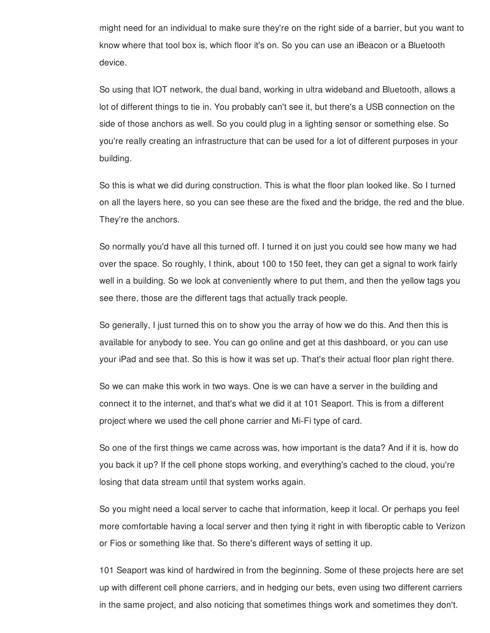might need for an individual to make sure they're on the right side of a barrier, but you want to know where that tool box is, which floor it's on. So you can use an iBeacon or a Bluetooth device.

So using that IOT network, the dual band, working in ultra wideband and Bluetooth, allows a lot of different things to tie in. You probably can't see it, but there's a USB connection on the side of those anchors as well. So you could plug in a lighting sensor or something else. So you're really creating an infrastructure that can be used for a lot of different purposes in your building.

So this is what we did during construction. This is what the floor plan looked like. So I turned on all the layers here, so you can see these are the fixed and the bridge, the red and the blue. They're the anchors.

So normally you'd have all this turned off. I turned it on just you could see how many we had over the space. So roughly, I think, about 100 to 150 feet, they can get a signal to work fairly well in a building. So we look at conveniently where to put them, and then the yellow tags you see there, those are the different tags that actually track people.

So generally, I just turned this on to show you the array of how we do this. And then this is available for anybody to see. You can go online and get at this dashboard, or you can use your iPad and see that. So this is how it was set up. That's their actual floor plan right there.

So we can make this work in two ways. One is we can have a server in the building and connect it to the internet, and that's what we did it at 101 Seaport. This is from a different project where we used the cell phone carrier and Mi-Fi type of card.

So one of the first things we came across was, how important is the data? And if it is, how do you back it up? If the cell phone stops working, and everything's cached to the cloud, you're losing that data stream until that system works again.

So you might need a local server to cache that information, keep it local. Or perhaps you feel more comfortable having a local server and then tying it right in with fiberoptic cable to Verizon or Fios or something like that. So there's different ways of setting it up.

101 Seaport was kind of hardwired in from the beginning. Some of these projects here are set up with different cell phone carriers, and in hedging our bets, even using two different carriers in the same project, and also noticing that sometimes things work and sometimes they don't.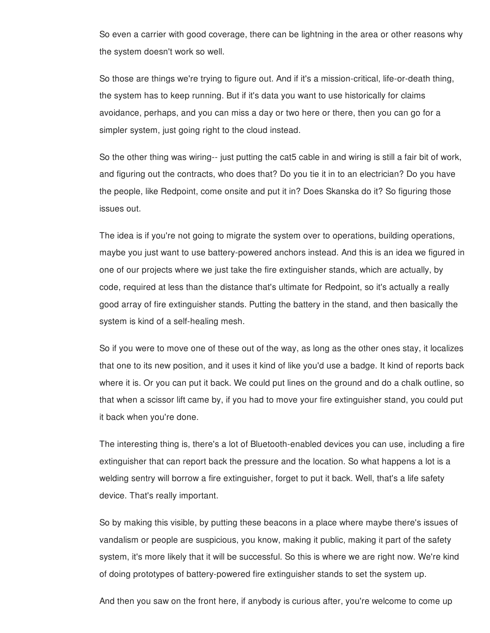So even a carrier with good coverage, there can be lightning in the area or other reasons why the system doesn't work so well.

So those are things we're trying to figure out. And if it's a mission-critical, life-or-death thing, the system has to keep running. But if it's data you want to use historically for claims avoidance, perhaps, and you can miss a day or two here or there, then you can go for a simpler system, just going right to the cloud instead.

So the other thing was wiring-- just putting the cat5 cable in and wiring is still a fair bit of work, and figuring out the contracts, who does that? Do you tie it in to an electrician? Do you have the people, like Redpoint, come onsite and put it in? Does Skanska do it? So figuring those issues out.

The idea is if you're not going to migrate the system over to operations, building operations, maybe you just want to use battery-powered anchors instead. And this is an idea we figured in one of our projects where we just take the fire extinguisher stands, which are actually, by code, required at less than the distance that's ultimate for Redpoint, so it's actually a really good array of fire extinguisher stands. Putting the battery in the stand, and then basically the system is kind of a self-healing mesh.

So if you were to move one of these out of the way, as long as the other ones stay, it localizes that one to its new position, and it uses it kind of like you'd use a badge. It kind of reports back where it is. Or you can put it back. We could put lines on the ground and do a chalk outline, so that when a scissor lift came by, if you had to move your fire extinguisher stand, you could put it back when you're done.

The interesting thing is, there's a lot of Bluetooth-enabled devices you can use, including a fire extinguisher that can report back the pressure and the location. So what happens a lot is a welding sentry will borrow a fire extinguisher, forget to put it back. Well, that's a life safety device. That's really important.

So by making this visible, by putting these beacons in a place where maybe there's issues of vandalism or people are suspicious, you know, making it public, making it part of the safety system, it's more likely that it will be successful. So this is where we are right now. We're kind of doing prototypes of battery-powered fire extinguisher stands to set the system up.

And then you saw on the front here, if anybody is curious after, you're welcome to come up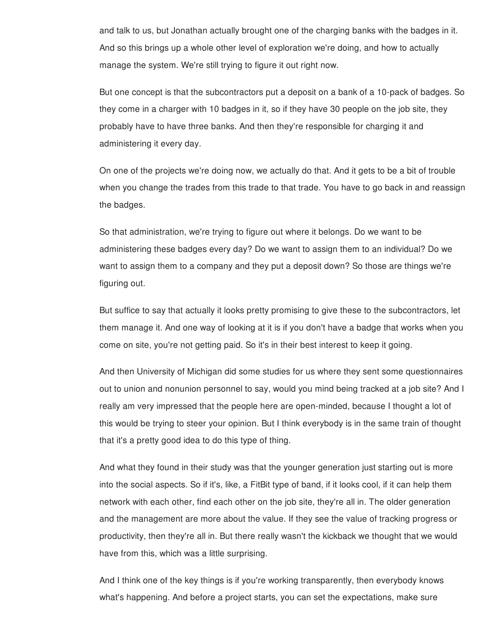and talk to us, but Jonathan actually brought one of the charging banks with the badges in it. And so this brings up a whole other level of exploration we're doing, and how to actually manage the system. We're still trying to figure it out right now.

But one concept is that the subcontractors put a deposit on a bank of a 10-pack of badges. So they come in a charger with 10 badges in it, so if they have 30 people on the job site, they probably have to have three banks. And then they're responsible for charging it and administering it every day.

On one of the projects we're doing now, we actually do that. And it gets to be a bit of trouble when you change the trades from this trade to that trade. You have to go back in and reassign the badges.

So that administration, we're trying to figure out where it belongs. Do we want to be administering these badges every day? Do we want to assign them to an individual? Do we want to assign them to a company and they put a deposit down? So those are things we're figuring out.

But suffice to say that actually it looks pretty promising to give these to the subcontractors, let them manage it. And one way of looking at it is if you don't have a badge that works when you come on site, you're not getting paid. So it's in their best interest to keep it going.

And then University of Michigan did some studies for us where they sent some questionnaires out to union and nonunion personnel to say, would you mind being tracked at a job site? And I really am very impressed that the people here are open-minded, because I thought a lot of this would be trying to steer your opinion. But I think everybody is in the same train of thought that it's a pretty good idea to do this type of thing.

And what they found in their study was that the younger generation just starting out is more into the social aspects. So if it's, like, a FitBit type of band, if it looks cool, if it can help them network with each other, find each other on the job site, they're all in. The older generation and the management are more about the value. If they see the value of tracking progress or productivity, then they're all in. But there really wasn't the kickback we thought that we would have from this, which was a little surprising.

And I think one of the key things is if you're working transparently, then everybody knows what's happening. And before a project starts, you can set the expectations, make sure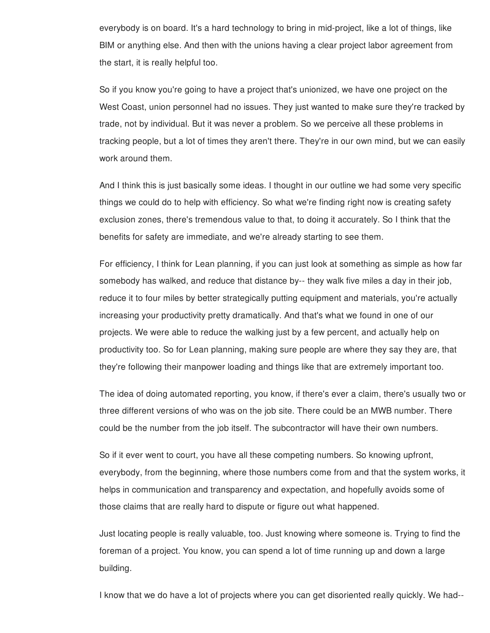everybody is on board. It's a hard technology to bring in mid-project, like a lot of things, like BIM or anything else. And then with the unions having a clear project labor agreement from the start, it is really helpful too.

So if you know you're going to have a project that's unionized, we have one project on the West Coast, union personnel had no issues. They just wanted to make sure they're tracked by trade, not by individual. But it was never a problem. So we perceive all these problems in tracking people, but a lot of times they aren't there. They're in our own mind, but we can easily work around them.

And I think this is just basically some ideas. I thought in our outline we had some very specific things we could do to help with efficiency. So what we're finding right now is creating safety exclusion zones, there's tremendous value to that, to doing it accurately. So I think that the benefits for safety are immediate, and we're already starting to see them.

For efficiency, I think for Lean planning, if you can just look at something as simple as how far somebody has walked, and reduce that distance by-- they walk five miles a day in their job, reduce it to four miles by better strategically putting equipment and materials, you're actually increasing your productivity pretty dramatically. And that's what we found in one of our projects. We were able to reduce the walking just by a few percent, and actually help on productivity too. So for Lean planning, making sure people are where they say they are, that they're following their manpower loading and things like that are extremely important too.

The idea of doing automated reporting, you know, if there's ever a claim, there's usually two or three different versions of who was on the job site. There could be an MWB number. There could be the number from the job itself. The subcontractor will have their own numbers.

So if it ever went to court, you have all these competing numbers. So knowing upfront, everybody, from the beginning, where those numbers come from and that the system works, it helps in communication and transparency and expectation, and hopefully avoids some of those claims that are really hard to dispute or figure out what happened.

Just locating people is really valuable, too. Just knowing where someone is. Trying to find the foreman of a project. You know, you can spend a lot of time running up and down a large building.

I know that we do have a lot of projects where you can get disoriented really quickly. We had--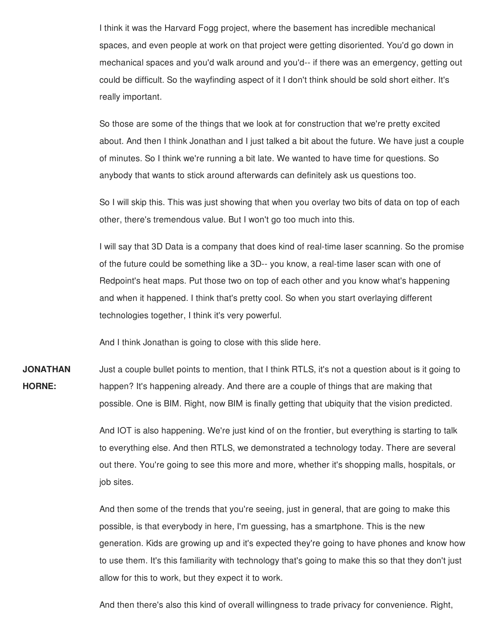I think it was the Harvard Fogg project, where the basement has incredible mechanical spaces, and even people at work on that project were getting disoriented. You'd go down in mechanical spaces and you'd walk around and you'd-- if there was an emergency, getting out could be difficult. So the wayfinding aspect of it I don't think should be sold short either. It's really important.

So those are some of the things that we look at for construction that we're pretty excited about. And then I think Jonathan and I just talked a bit about the future. We have just a couple of minutes. So I think we're running a bit late. We wanted to have time for questions. So anybody that wants to stick around afterwards can definitely ask us questions too.

So I will skip this. This was just showing that when you overlay two bits of data on top of each other, there's tremendous value. But I won't go too much into this.

I will say that 3D Data is a company that does kind of real-time laser scanning. So the promise of the future could be something like a 3D-- you know, a real-time laser scan with one of Redpoint's heat maps. Put those two on top of each other and you know what's happening and when it happened. I think that's pretty cool. So when you start overlaying different technologies together, I think it's very powerful.

And I think Jonathan is going to close with this slide here.

**JONATHAN HORNE:** Just a couple bullet points to mention, that I think RTLS, it's not a question about is it going to happen? It's happening already. And there are a couple of things that are making that possible. One is BIM. Right, now BIM is finally getting that ubiquity that the vision predicted.

> And IOT is also happening. We're just kind of on the frontier, but everything is starting to talk to everything else. And then RTLS, we demonstrated a technology today. There are several out there. You're going to see this more and more, whether it's shopping malls, hospitals, or job sites.

And then some of the trends that you're seeing, just in general, that are going to make this possible, is that everybody in here, I'm guessing, has a smartphone. This is the new generation. Kids are growing up and it's expected they're going to have phones and know how to use them. It's this familiarity with technology that's going to make this so that they don't just allow for this to work, but they expect it to work.

And then there's also this kind of overall willingness to trade privacy for convenience. Right,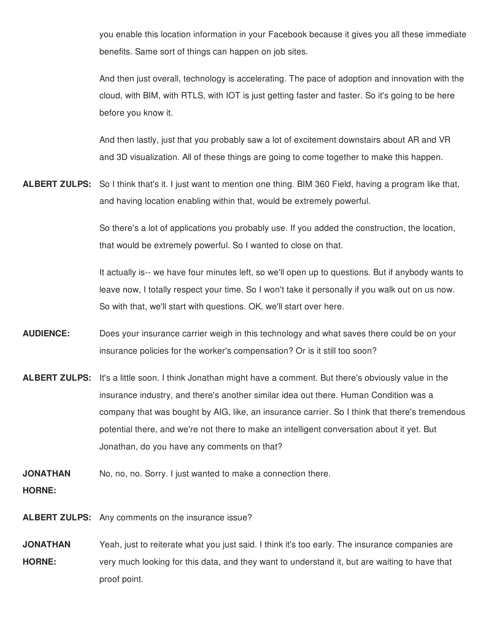you enable this location information in your Facebook because it gives you all these immediate benefits. Same sort of things can happen on job sites.

And then just overall, technology is accelerating. The pace of adoption and innovation with the cloud, with BIM, with RTLS, with IOT is just getting faster and faster. So it's going to be here before you know it.

And then lastly, just that you probably saw a lot of excitement downstairs about AR and VR and 3D visualization. All of these things are going to come together to make this happen.

**ALBERT ZULPS:** So I think that's it. I just want to mention one thing. BIM 360 Field, having a program like that, and having location enabling within that, would be extremely powerful.

> So there's a lot of applications you probably use. If you added the construction, the location, that would be extremely powerful. So I wanted to close on that.

It actually is-- we have four minutes left, so we'll open up to questions. But if anybody wants to leave now, I totally respect your time. So I won't take it personally if you walk out on us now. So with that, we'll start with questions. OK, we'll start over here.

- **AUDIENCE:** Does your insurance carrier weigh in this technology and what saves there could be on your insurance policies for the worker's compensation? Or is it still too soon?
- **ALBERT ZULPS:** It's a little soon. I think Jonathan might have a comment. But there's obviously value in the insurance industry, and there's another similar idea out there. Human Condition was a company that was bought by AIG, like, an insurance carrier. So I think that there's tremendous potential there, and we're not there to make an intelligent conversation about it yet. But Jonathan, do you have any comments on that?

**JONATHAN** No, no, no. Sorry. I just wanted to make a connection there.

**HORNE:**

- **ALBERT ZULPS:** Any comments on the insurance issue?
- **JONATHAN HORNE:** Yeah, just to reiterate what you just said. I think it's too early. The insurance companies are very much looking for this data, and they want to understand it, but are waiting to have that proof point.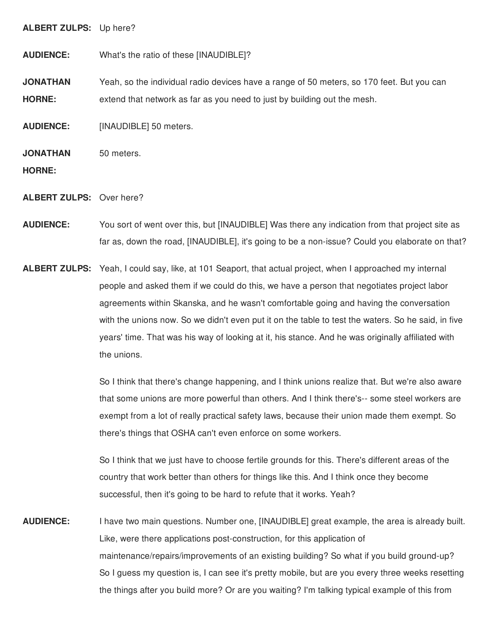### **ALBERT ZULPS:** Up here?

**AUDIENCE:** What's the ratio of these [INAUDIBLE]?

**JONATHAN HORNE:** Yeah, so the individual radio devices have a range of 50 meters, so 170 feet. But you can extend that network as far as you need to just by building out the mesh.

**AUDIENCE:** [INAUDIBLE] 50 meters.

**JONATHAN** 50 meters.

**HORNE:**

**ALBERT ZULPS:** Over here?

- **AUDIENCE:** You sort of went over this, but [INAUDIBLE] Was there any indication from that project site as far as, down the road, [INAUDIBLE], it's going to be a non-issue? Could you elaborate on that?
- **ALBERT ZULPS:** Yeah, I could say, like, at 101 Seaport, that actual project, when I approached my internal people and asked them if we could do this, we have a person that negotiates project labor agreements within Skanska, and he wasn't comfortable going and having the conversation with the unions now. So we didn't even put it on the table to test the waters. So he said, in five years' time. That was his way of looking at it, his stance. And he was originally affiliated with the unions.

So I think that there's change happening, and I think unions realize that. But we're also aware that some unions are more powerful than others. And I think there's-- some steel workers are exempt from a lot of really practical safety laws, because their union made them exempt. So there's things that OSHA can't even enforce on some workers.

So I think that we just have to choose fertile grounds for this. There's different areas of the country that work better than others for things like this. And I think once they become successful, then it's going to be hard to refute that it works. Yeah?

**AUDIENCE:** I have two main questions. Number one, [INAUDIBLE] great example, the area is already built. Like, were there applications post-construction, for this application of maintenance/repairs/improvements of an existing building? So what if you build ground-up? So I guess my question is, I can see it's pretty mobile, but are you every three weeks resetting the things after you build more? Or are you waiting? I'm talking typical example of this from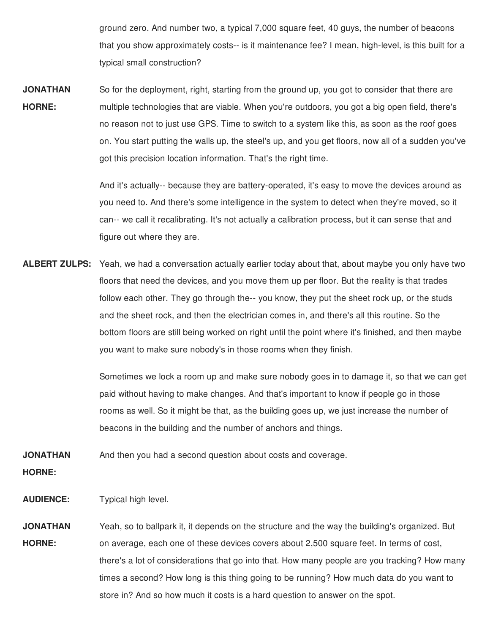ground zero. And number two, a typical 7,000 square feet, 40 guys, the number of beacons that you show approximately costs-- is it maintenance fee? I mean, high-level, is this built for a typical small construction?

**JONATHAN HORNE:** So for the deployment, right, starting from the ground up, you got to consider that there are multiple technologies that are viable. When you're outdoors, you got a big open field, there's no reason not to just use GPS. Time to switch to a system like this, as soon as the roof goes on. You start putting the walls up, the steel's up, and you get floors, now all of a sudden you've got this precision location information. That's the right time.

> And it's actually-- because they are battery-operated, it's easy to move the devices around as you need to. And there's some intelligence in the system to detect when they're moved, so it can-- we call it recalibrating. It's not actually a calibration process, but it can sense that and figure out where they are.

**ALBERT ZULPS:** Yeah, we had a conversation actually earlier today about that, about maybe you only have two floors that need the devices, and you move them up per floor. But the reality is that trades follow each other. They go through the-- you know, they put the sheet rock up, or the studs and the sheet rock, and then the electrician comes in, and there's all this routine. So the bottom floors are still being worked on right until the point where it's finished, and then maybe you want to make sure nobody's in those rooms when they finish.

> Sometimes we lock a room up and make sure nobody goes in to damage it, so that we can get paid without having to make changes. And that's important to know if people go in those rooms as well. So it might be that, as the building goes up, we just increase the number of beacons in the building and the number of anchors and things.

**JONATHAN** And then you had a second question about costs and coverage.

**HORNE:**

**AUDIENCE:** Typical high level.

**JONATHAN HORNE:** Yeah, so to ballpark it, it depends on the structure and the way the building's organized. But on average, each one of these devices covers about 2,500 square feet. In terms of cost, there's a lot of considerations that go into that. How many people are you tracking? How many times a second? How long is this thing going to be running? How much data do you want to store in? And so how much it costs is a hard question to answer on the spot.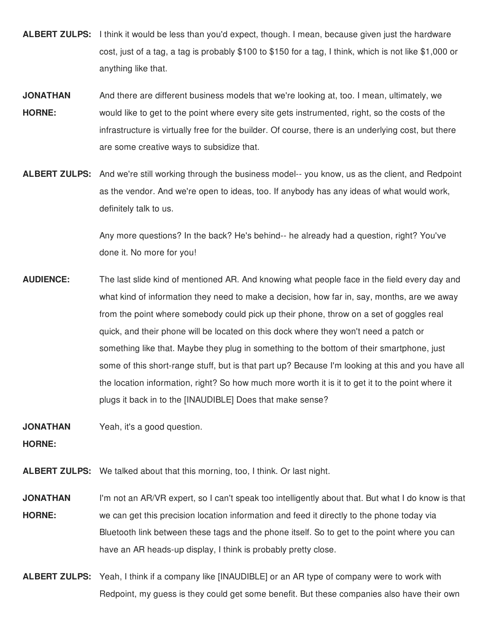- **ALBERT ZULPS:** I think it would be less than you'd expect, though. I mean, because given just the hardware cost, just of a tag, a tag is probably \$100 to \$150 for a tag, I think, which is not like \$1,000 or anything like that.
- **JONATHAN HORNE:** And there are different business models that we're looking at, too. I mean, ultimately, we would like to get to the point where every site gets instrumented, right, so the costs of the infrastructure is virtually free for the builder. Of course, there is an underlying cost, but there are some creative ways to subsidize that.
- **ALBERT ZULPS:** And we're still working through the business model-- you know, us as the client, and Redpoint as the vendor. And we're open to ideas, too. If anybody has any ideas of what would work, definitely talk to us.

Any more questions? In the back? He's behind-- he already had a question, right? You've done it. No more for you!

**AUDIENCE:** The last slide kind of mentioned AR. And knowing what people face in the field every day and what kind of information they need to make a decision, how far in, say, months, are we away from the point where somebody could pick up their phone, throw on a set of goggles real quick, and their phone will be located on this dock where they won't need a patch or something like that. Maybe they plug in something to the bottom of their smartphone, just some of this short-range stuff, but is that part up? Because I'm looking at this and you have all the location information, right? So how much more worth it is it to get it to the point where it plugs it back in to the [INAUDIBLE] Does that make sense?

**JONATHAN** Yeah, it's a good question.

**HORNE:**

**ALBERT ZULPS:** We talked about that this morning, too, I think. Or last night.

- **JONATHAN HORNE:** I'm not an AR/VR expert, so I can't speak too intelligently about that. But what I do know is that we can get this precision location information and feed it directly to the phone today via Bluetooth link between these tags and the phone itself. So to get to the point where you can have an AR heads-up display, I think is probably pretty close.
- **ALBERT ZULPS:** Yeah, I think if a company like [INAUDIBLE] or an AR type of company were to work with Redpoint, my guess is they could get some benefit. But these companies also have their own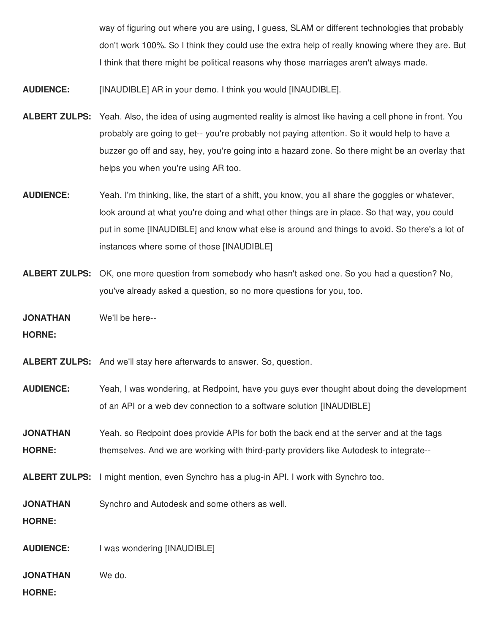way of figuring out where you are using, I guess, SLAM or different technologies that probably don't work 100%. So I think they could use the extra help of really knowing where they are. But I think that there might be political reasons why those marriages aren't always made.

**AUDIENCE:** [INAUDIBLE] AR in your demo. I think you would [INAUDIBLE].

- **ALBERT ZULPS:** Yeah. Also, the idea of using augmented reality is almost like having a cell phone in front. You probably are going to get-- you're probably not paying attention. So it would help to have a buzzer go off and say, hey, you're going into a hazard zone. So there might be an overlay that helps you when you're using AR too.
- **AUDIENCE:** Yeah, I'm thinking, like, the start of a shift, you know, you all share the goggles or whatever, look around at what you're doing and what other things are in place. So that way, you could put in some [INAUDIBLE] and know what else is around and things to avoid. So there's a lot of instances where some of those [INAUDIBLE]
- **ALBERT ZULPS:** OK, one more question from somebody who hasn't asked one. So you had a question? No, you've already asked a question, so no more questions for you, too.

**JONATHAN** We'll be here--

**HORNE:**

**ALBERT ZULPS:** And we'll stay here afterwards to answer. So, question.

**AUDIENCE:** Yeah, I was wondering, at Redpoint, have you guys ever thought about doing the development of an API or a web dev connection to a software solution [INAUDIBLE]

**JONATHAN HORNE:** Yeah, so Redpoint does provide APIs for both the back end at the server and at the tags themselves. And we are working with third-party providers like Autodesk to integrate--

**ALBERT ZULPS:** I might mention, even Synchro has a plug-in API. I work with Synchro too.

**JONATHAN** Synchro and Autodesk and some others as well.

**HORNE:**

**AUDIENCE:** I was wondering [INAUDIBLE]

**JONATHAN** We do.

**HORNE:**